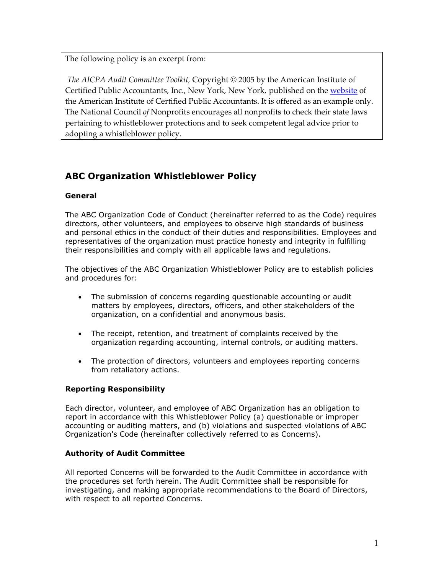The following policy is an excerpt from:

*The AICPA Audit Committee Toolkit,* Copyright © 2005 by the American Institute of Certified Public Accountants, Inc., New York, New York, published on the website of the American Institute of Certified Public Accountants. It is offered as an example only. The National Council *of* Nonprofits encourages all nonprofits to check their state laws pertaining to whistleblower protections and to seek competent legal advice prior to adopting a whistleblower policy.

# **ABC Organization Whistleblower Policy**

## **General**

The ABC Organization Code of Conduct (hereinafter referred to as the Code) requires directors, other volunteers, and employees to observe high standards of business and personal ethics in the conduct of their duties and responsibilities. Employees and representatives of the organization must practice honesty and integrity in fulfilling their responsibilities and comply with all applicable laws and regulations.

The objectives of the ABC Organization Whistleblower Policy are to establish policies and procedures for:

- The submission of concerns regarding questionable accounting or audit matters by employees, directors, officers, and other stakeholders of the organization, on a confidential and anonymous basis.
- The receipt, retention, and treatment of complaints received by the organization regarding accounting, internal controls, or auditing matters.
- The protection of directors, volunteers and employees reporting concerns from retaliatory actions.

## **Reporting Responsibility**

Each director, volunteer, and employee of ABC Organization has an obligation to report in accordance with this Whistleblower Policy (a) questionable or improper accounting or auditing matters, and (b) violations and suspected violations of ABC Organization's Code (hereinafter collectively referred to as Concerns).

#### **Authority of Audit Committee**

All reported Concerns will be forwarded to the Audit Committee in accordance with the procedures set forth herein. The Audit Committee shall be responsible for investigating, and making appropriate recommendations to the Board of Directors, with respect to all reported Concerns.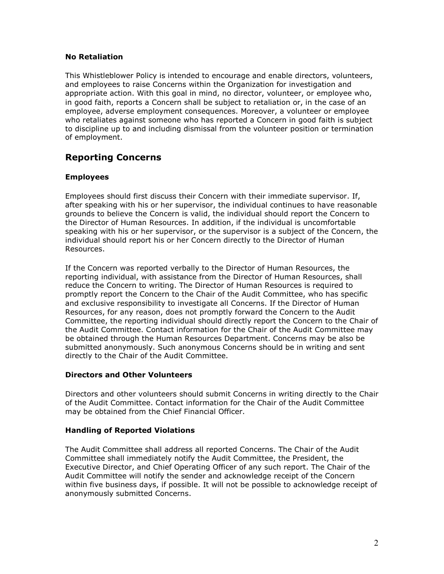#### **No Retaliation**

This Whistleblower Policy is intended to encourage and enable directors, volunteers, and employees to raise Concerns within the Organization for investigation and appropriate action. With this goal in mind, no director, volunteer, or employee who, in good faith, reports a Concern shall be subject to retaliation or, in the case of an employee, adverse employment consequences. Moreover, a volunteer or employee who retaliates against someone who has reported a Concern in good faith is subject to discipline up to and including dismissal from the volunteer position or termination of employment.

## **Reporting Concerns**

## **Employees**

Employees should first discuss their Concern with their immediate supervisor. If, after speaking with his or her supervisor, the individual continues to have reasonable grounds to believe the Concern is valid, the individual should report the Concern to the Director of Human Resources. In addition, if the individual is uncomfortable speaking with his or her supervisor, or the supervisor is a subject of the Concern, the individual should report his or her Concern directly to the Director of Human Resources.

If the Concern was reported verbally to the Director of Human Resources, the reporting individual, with assistance from the Director of Human Resources, shall reduce the Concern to writing. The Director of Human Resources is required to promptly report the Concern to the Chair of the Audit Committee, who has specific and exclusive responsibility to investigate all Concerns. If the Director of Human Resources, for any reason, does not promptly forward the Concern to the Audit Committee, the reporting individual should directly report the Concern to the Chair of the Audit Committee. Contact information for the Chair of the Audit Committee may be obtained through the Human Resources Department. Concerns may be also be submitted anonymously. Such anonymous Concerns should be in writing and sent directly to the Chair of the Audit Committee.

#### **Directors and Other Volunteers**

Directors and other volunteers should submit Concerns in writing directly to the Chair of the Audit Committee. Contact information for the Chair of the Audit Committee may be obtained from the Chief Financial Officer.

#### **Handling of Reported Violations**

The Audit Committee shall address all reported Concerns. The Chair of the Audit Committee shall immediately notify the Audit Committee, the President, the Executive Director, and Chief Operating Officer of any such report. The Chair of the Audit Committee will notify the sender and acknowledge receipt of the Concern within five business days, if possible. It will not be possible to acknowledge receipt of anonymously submitted Concerns.